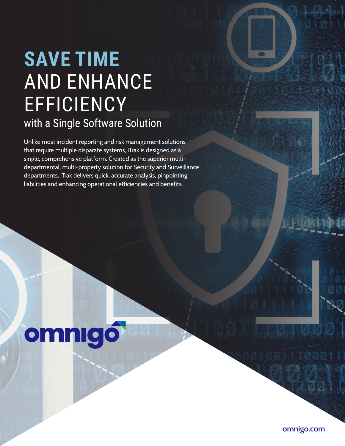## **SAVE TIME**  AND ENHANCE EFFICIENCY with a Single Software Solution

Unlike most incident reporting and risk management solutions that require multiple disparate systems, iTrak is designed as a single, comprehensive platform. Created as the superior multidepartmental, multi-property solution for Security and Surveillance departments, iTrak delivers quick, accurate analysis, pinpointing liabilities and enhancing operational efficiencies and benefits.

# omnigó

**omnigo.com**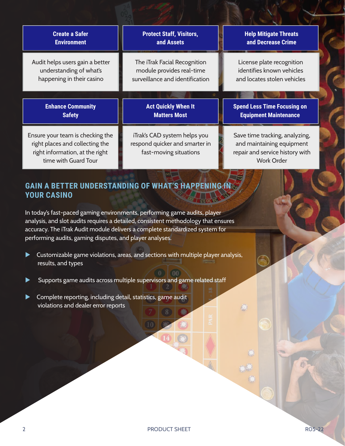| <b>Create a Safer</b>           | <b>Protect Staff, Visitors,</b> | <b>Help Mitigate Threats</b>       |
|---------------------------------|---------------------------------|------------------------------------|
| <b>Environment</b>              | and Assets                      | and Decrease Crime                 |
| Audit helps users gain a better | The iTrak Facial Recognition    | License plate recognition          |
| understanding of what's         | module provides real-time       | identifies known vehicles          |
| happening in their casino       | surveillance and identification | and locates stolen vehicles        |
|                                 |                                 |                                    |
| <b>Enhance Community</b>        | <b>Act Quickly When It</b>      | <b>Spend Less Time Focusing on</b> |
| <b>Safety</b>                   | <b>Matters Most</b>             | <b>Equipment Maintenance</b>       |

### **GAIN A BETTER UNDERSTANDING OF WHAT'S HAPPENING I YOUR CASINO**

In today's fast-paced gaming environments, performing game audits, player analysis, and slot audits requires a detailed, consistent methodology that ensures accuracy. The iTrak Audit module delivers a complete standardized system for performing audits, gaming disputes, and player analyses.

- $\blacktriangleright$  Customizable game violations, areas, and sections with multiple player analysis, results, and types
- Supports game audits across multiple supervisors and game related staff
- Complete reporting, including detail, statistics, game audit violations and dealer error reports

 $(00)$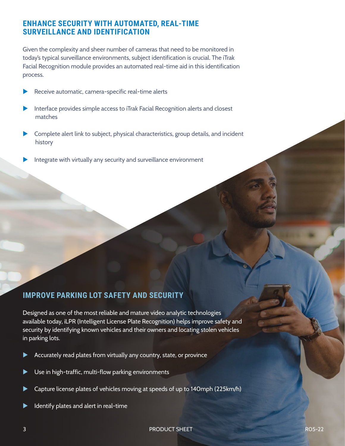#### **ENHANCE SECURITY WITH AUTOMATED, REAL-TIME SURVEILLANCE AND IDENTIFICATION**

Given the complexity and sheer number of cameras that need to be monitored in today's typical surveillance environments, subject identification is crucial. The iTrak Facial Recognition module provides an automated real-time aid in this identification process.

- Receive automatic, camera-specific real-time alerts
- Interface provides simple access to iTrak Facial Recognition alerts and closest matches
- Complete alert link to subject, physical characteristics, group details, and incident history
- Integrate with virtually any security and surveillance environment

#### **IMPROVE PARKING LOT SAFETY AND SECURITY**

Designed as one of the most reliable and mature video analytic technologies available today, iLPR (Intelligent License Plate Recognition) helps improve safety and security by identifying known vehicles and their owners and locating stolen vehicles in parking lots.

- Accurately read plates from virtually any country, state, or province
- $\blacktriangleright$  Use in high-traffic, multi-flow parking environments
- Capture license plates of vehicles moving at speeds of up to 140mph (225km/h)
- Identify plates and alert in real-time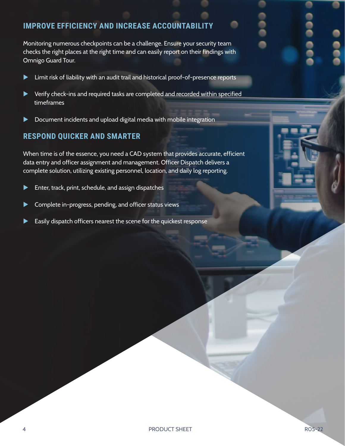#### **IMPROVE EFFICIENCY AND INCREASE ACCOUNTABILITY**

Monitoring numerous checkpoints can be a challenge. Ensure your security team checks the right places at the right time and can easily report on their findings with Omnigo Guard Tour.

- $\blacktriangleright$  Limit risk of liability with an audit trail and historical proof-of-presence reports
- $\blacktriangleright$  Verify check-ins and required tasks are completed and recorded within specified timeframes
- $\blacktriangleright$  Document incidents and upload digital media with mobile integration

#### **RESPOND QUICKER AND SMARTER**

When time is of the essence, you need a CAD system that provides accurate, efficient data entry and officer assignment and management. Officer Dispatch delivers a complete solution, utilizing existing personnel, location, and daily log reporting.

- $\blacktriangleright$  Enter, track, print, schedule, and assign dispatches
- $\blacktriangleright$  Complete in-progress, pending, and officer status views
- Easily dispatch officers nearest the scene for the quickest response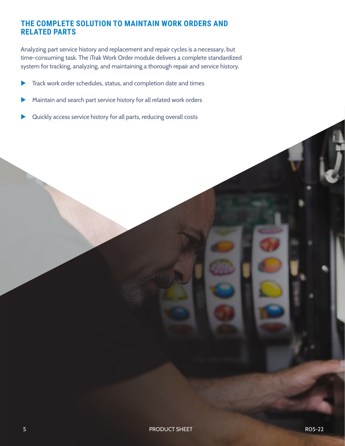#### **THE COMPLETE SOLUTION TO MAINTAIN WORK ORDERS AND RELATED PARTS**

Analyzing part service history and replacement and repair cycles is a necessary, but time-consuming task. The iTrak Work Order module delivers a complete standardized system for tracking, analyzing, and maintaining a thorough repair and service history.

- Track work order schedules, status, and completion date and times
- Maintain and search part service history for all related work orders
- Quickly access service history for all parts, reducing overall costs